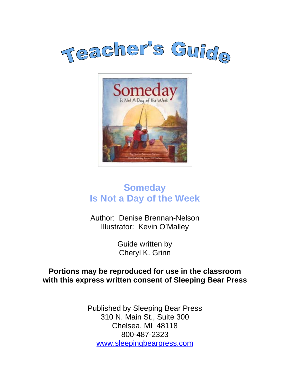



## **Someday Is Not a Day of the Week**

Author: Denise Brennan-Nelson Illustrator: Kevin O'Malley

> Guide written by Cheryl K. Grinn

#### **Portions may be reproduced for use in the classroom with this express written consent of Sleeping Bear Press**

Published by Sleeping Bear Press 310 N. Main St., Suite 300 Chelsea, MI 48118 800-487-2323 www.sleepingbearpress.com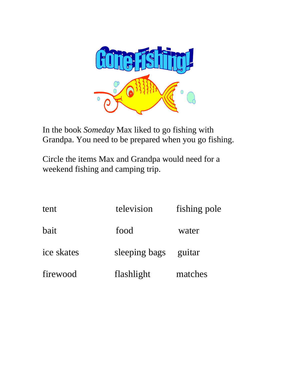

In the book *Someday* Max liked to go fishing with Grandpa. You need to be prepared when you go fishing.

Circle the items Max and Grandpa would need for a weekend fishing and camping trip.

| tent       | television    | fishing pole |
|------------|---------------|--------------|
| bait       | food          | water        |
| ice skates | sleeping bags | guitar       |
| firewood   | flashlight    | matches      |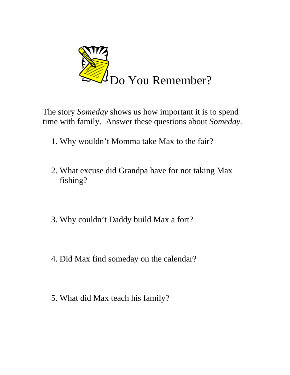

The story *Someday* shows us how important it is to spend time with family. Answer these questions about *Someday.*

- 1. Why wouldn't Momma take Max to the fair?
- 2. What excuse did Grandpa have for not taking Max fishing?
- 3. Why couldn't Daddy build Max a fort?
- 4. Did Max find someday on the calendar?
- 5. What did Max teach his family?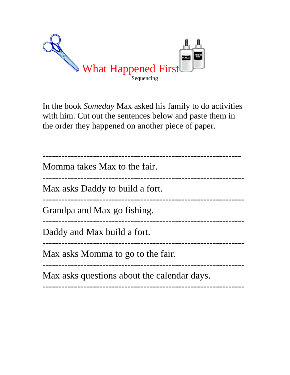

In the book *Someday* Max asked his family to do activities with him. Cut out the sentences below and paste them in the order they happened on another piece of paper.

| Momma takes Max to the fair.                |
|---------------------------------------------|
| Max asks Daddy to build a fort.             |
| Grandpa and Max go fishing.                 |
| Daddy and Max build a fort.                 |
| Max asks Momma to go to the fair.           |
| Max asks questions about the calendar days. |
|                                             |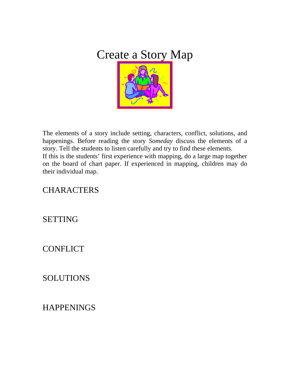

The elements of a story include setting, characters, conflict, solutions, and happenings. Before reading the story *Someday* discuss the elements of a story. Tell the students to listen carefully and try to find these elements. If this is the students' first experience with mapping, do a large map together on the board of chart paper. If experienced in mapping, children may do their individual map.

## **CHARACTERS**

#### SETTING

## **CONFLICT**

## **SOLUTIONS**

## **HAPPENINGS**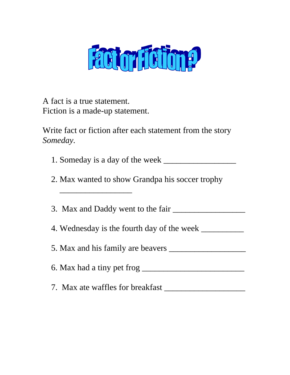

A fact is a true statement. Fiction is a made-up statement.

\_\_\_\_\_\_\_\_\_\_\_\_\_\_\_\_\_

Write fact or fiction after each statement from the story *Someday.*

- 1. Someday is a day of the week \_\_\_\_\_\_\_\_\_\_\_\_\_\_\_\_\_
- 2. Max wanted to show Grandpa his soccer trophy

3. Max and Daddy went to the fair \_\_\_\_\_\_\_\_\_\_\_\_\_\_\_\_\_

4. Wednesday is the fourth day of the week \_\_\_\_\_\_\_\_\_\_

5. Max and his family are beavers \_\_\_\_\_\_\_\_\_\_\_\_\_\_\_\_\_\_

 $6.$  Max had a tiny pet frog  $\frac{1}{2}$ 

7. Max ate waffles for breakfast \_\_\_\_\_\_\_\_\_\_\_\_\_\_\_\_\_\_\_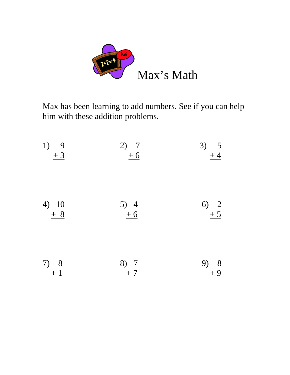

Max has been learning to add numbers. See if you can help him with these addition problems.

| 1) 9<br>$+3$  | 2) 7<br>$+6$                            | 3) $\frac{5}{+4}$ |
|---------------|-----------------------------------------|-------------------|
| 4) 10<br>$+8$ | $\begin{array}{c} 5) \\ +6 \end{array}$ | 6) 2<br>$+5$      |
| 7) 8<br>$+1$  | 8) 7<br>$+7$                            | 9) 8<br>$+9$      |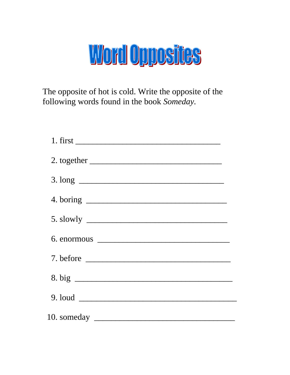## Word Opposites

The opposite of hot is cold. Write the opposite of the following words found in the book Someday.

| $3. long \_\_\_\_\_\_$ |
|------------------------|
|                        |
| $5. \, \text{slowly}$  |
|                        |
|                        |
|                        |
|                        |
|                        |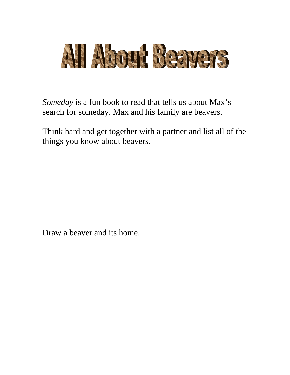

*Someday* is a fun book to read that tells us about Max's search for someday. Max and his family are beavers.

Think hard and get together with a partner and list all of the things you know about beavers.

Draw a beaver and its home.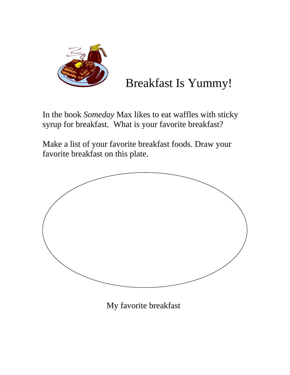

## Breakfast Is Yummy!

In the book *Someday* Max likes to eat waffles with sticky syrup for breakfast. What is your favorite breakfast?

Make a list of your favorite breakfast foods. Draw your favorite breakfast on this plate.



My favorite breakfast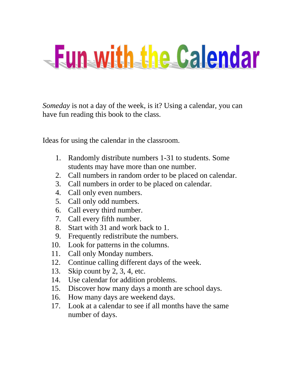# - Fun with the Calendar

*Someday* is not a day of the week, is it? Using a calendar, you can have fun reading this book to the class.

Ideas for using the calendar in the classroom.

- 1. Randomly distribute numbers 1-31 to students. Some students may have more than one number.
- 2. Call numbers in random order to be placed on calendar.
- 3. Call numbers in order to be placed on calendar.
- 4. Call only even numbers.
- 5. Call only odd numbers.
- 6. Call every third number.
- 7. Call every fifth number.
- 8. Start with 31 and work back to 1.
- 9. Frequently redistribute the numbers.
- 10. Look for patterns in the columns.
- 11. Call only Monday numbers.
- 12. Continue calling different days of the week.
- 13. Skip count by 2, 3, 4, etc.
- 14. Use calendar for addition problems.
- 15. Discover how many days a month are school days.
- 16. How many days are weekend days.
- 17. Look at a calendar to see if all months have the same number of days.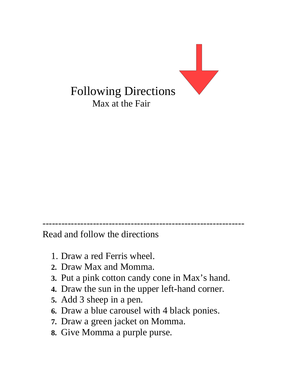

---------------------------------------------------------------- Read and follow the directions

- 1. Draw a red Ferris wheel.
- **2.** Draw Max and Momma.
- **3.** Put a pink cotton candy cone in Max's hand.
- **4.** Draw the sun in the upper left-hand corner.
- **5.** Add 3 sheep in a pen.
- **6.** Draw a blue carousel with 4 black ponies.
- **7.** Draw a green jacket on Momma.
- **8.** Give Momma a purple purse.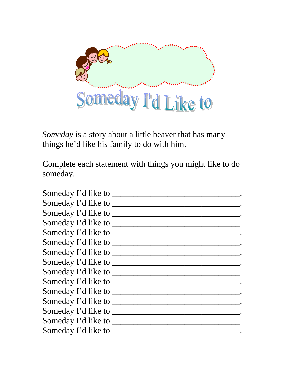

*Someday* is a story about a little beaver that has many things he'd like his family to do with him.

Complete each statement with things you might like to do someday.

| Someday I'd like to _______ |  |
|-----------------------------|--|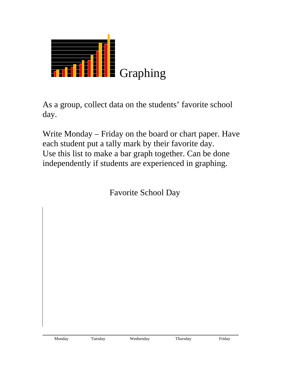| <b>THE ELEC</b> Graphing |  |
|--------------------------|--|

As a group, collect data on the students' favorite school day.

Write Monday – Friday on the board or chart paper. Have each student put a tally mark by their favorite day. Use this list to make a bar graph together. Can be done independently if students are experienced in graphing.

Favorite School Day

\_\_\_\_\_\_\_\_\_\_\_\_\_\_\_\_\_\_\_\_\_\_\_\_\_\_\_\_\_\_\_\_\_\_\_\_\_\_\_\_\_\_\_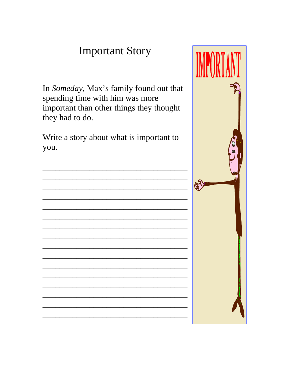## **Important Story**

In Someday, Max's family found out that spending time with him was more important than other things they thought they had to do.

Write a story about what is important to you.



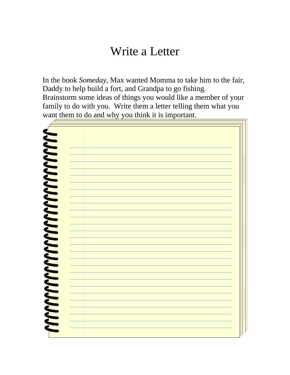## Write a Letter

In the book *Someday,* Max wanted Momma to take him to the fair, Daddy to help build a fort, and Grandpa to go fishing. Brainstorm some ideas of things you would like a member of your family to do with you. Write them a letter telling them what you want them to do and why you think it is important.

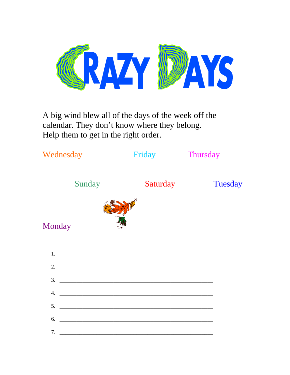

A big wind blew all of the days of the week off the calendar. They don't know where they belong. Help them to get in the right order.

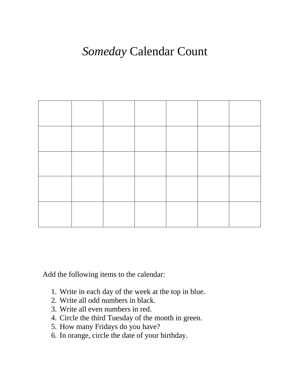## *Someday* Calendar Count



Add the following items to the calendar:

- 1. Write in each day of the week at the top in blue.
- 2. Write all odd numbers in black.
- 3. Write all even numbers in red.
- 4. Circle the third Tuesday of the month in green.
- 5. How many Fridays do you have?
- 6. In orange, circle the date of your birthday.